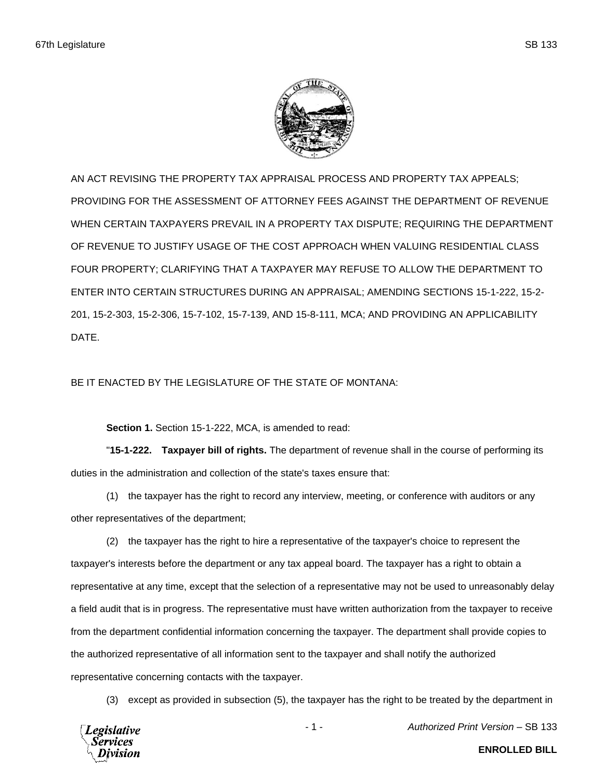

AN ACT REVISING THE PROPERTY TAX APPRAISAL PROCESS AND PROPERTY TAX APPEALS; PROVIDING FOR THE ASSESSMENT OF ATTORNEY FEES AGAINST THE DEPARTMENT OF REVENUE WHEN CERTAIN TAXPAYERS PREVAIL IN A PROPERTY TAX DISPUTE; REQUIRING THE DEPARTMENT OF REVENUE TO JUSTIFY USAGE OF THE COST APPROACH WHEN VALUING RESIDENTIAL CLASS FOUR PROPERTY; CLARIFYING THAT A TAXPAYER MAY REFUSE TO ALLOW THE DEPARTMENT TO ENTER INTO CERTAIN STRUCTURES DURING AN APPRAISAL; AMENDING SECTIONS 15-1-222, 15-2- 201, 15-2-303, 15-2-306, 15-7-102, 15-7-139, AND 15-8-111, MCA; AND PROVIDING AN APPLICABILITY DATE.

## BE IT ENACTED BY THE LEGISLATURE OF THE STATE OF MONTANA:

**Section 1.** Section 15-1-222, MCA, is amended to read:

"**15-1-222. Taxpayer bill of rights.** The department of revenue shall in the course of performing its duties in the administration and collection of the state's taxes ensure that:

(1) the taxpayer has the right to record any interview, meeting, or conference with auditors or any other representatives of the department;

(2) the taxpayer has the right to hire a representative of the taxpayer's choice to represent the taxpayer's interests before the department or any tax appeal board. The taxpayer has a right to obtain a representative at any time, except that the selection of a representative may not be used to unreasonably delay a field audit that is in progress. The representative must have written authorization from the taxpayer to receive from the department confidential information concerning the taxpayer. The department shall provide copies to the authorized representative of all information sent to the taxpayer and shall notify the authorized representative concerning contacts with the taxpayer.

(3) except as provided in subsection (5), the taxpayer has the right to be treated by the department in

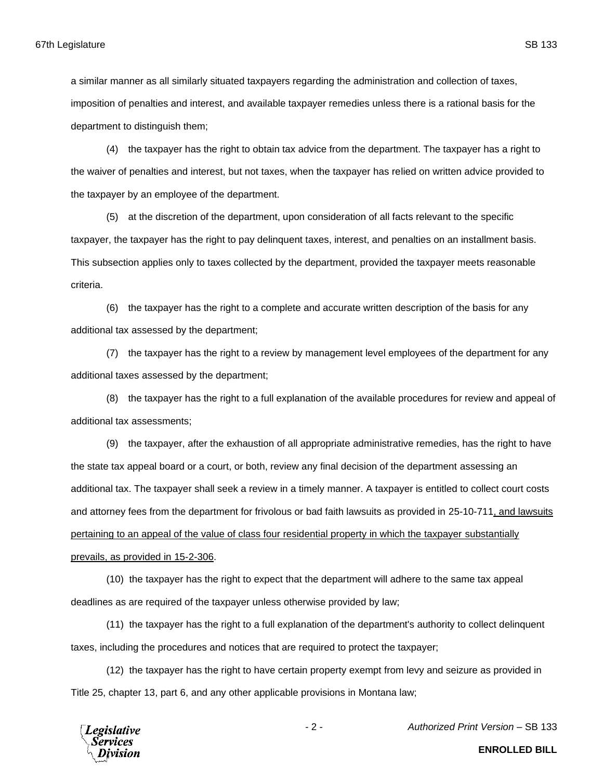department to distinguish them;

(4) the taxpayer has the right to obtain tax advice from the department. The taxpayer has a right to the waiver of penalties and interest, but not taxes, when the taxpayer has relied on written advice provided to the taxpayer by an employee of the department.

(5) at the discretion of the department, upon consideration of all facts relevant to the specific taxpayer, the taxpayer has the right to pay delinquent taxes, interest, and penalties on an installment basis. This subsection applies only to taxes collected by the department, provided the taxpayer meets reasonable criteria.

(6) the taxpayer has the right to a complete and accurate written description of the basis for any additional tax assessed by the department;

(7) the taxpayer has the right to a review by management level employees of the department for any additional taxes assessed by the department;

(8) the taxpayer has the right to a full explanation of the available procedures for review and appeal of additional tax assessments;

(9) the taxpayer, after the exhaustion of all appropriate administrative remedies, has the right to have the state tax appeal board or a court, or both, review any final decision of the department assessing an additional tax. The taxpayer shall seek a review in a timely manner. A taxpayer is entitled to collect court costs and attorney fees from the department for frivolous or bad faith lawsuits as provided in 25-10-711, and lawsuits pertaining to an appeal of the value of class four residential property in which the taxpayer substantially prevails, as provided in 15-2-306.

(10) the taxpayer has the right to expect that the department will adhere to the same tax appeal deadlines as are required of the taxpayer unless otherwise provided by law;

(11) the taxpayer has the right to a full explanation of the department's authority to collect delinquent taxes, including the procedures and notices that are required to protect the taxpayer;

(12) the taxpayer has the right to have certain property exempt from levy and seizure as provided in Title 25, chapter 13, part 6, and any other applicable provisions in Montana law;



- 2 - *Authorized Print Version* – SB 133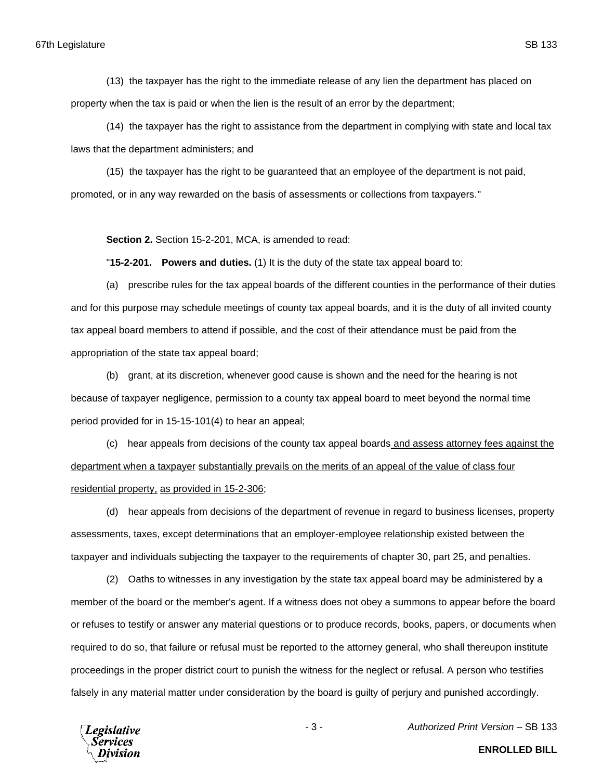(13) the taxpayer has the right to the immediate release of any lien the department has placed on property when the tax is paid or when the lien is the result of an error by the department;

(14) the taxpayer has the right to assistance from the department in complying with state and local tax laws that the department administers; and

(15) the taxpayer has the right to be guaranteed that an employee of the department is not paid, promoted, or in any way rewarded on the basis of assessments or collections from taxpayers."

**Section 2.** Section 15-2-201, MCA, is amended to read:

"**15-2-201. Powers and duties.** (1) It is the duty of the state tax appeal board to:

(a) prescribe rules for the tax appeal boards of the different counties in the performance of their duties and for this purpose may schedule meetings of county tax appeal boards, and it is the duty of all invited county tax appeal board members to attend if possible, and the cost of their attendance must be paid from the appropriation of the state tax appeal board;

(b) grant, at its discretion, whenever good cause is shown and the need for the hearing is not because of taxpayer negligence, permission to a county tax appeal board to meet beyond the normal time period provided for in 15-15-101(4) to hear an appeal;

(c) hear appeals from decisions of the county tax appeal boards and assess attorney fees against the department when a taxpayer substantially prevails on the merits of an appeal of the value of class four residential property, as provided in 15-2-306;

(d) hear appeals from decisions of the department of revenue in regard to business licenses, property assessments, taxes, except determinations that an employer-employee relationship existed between the taxpayer and individuals subjecting the taxpayer to the requirements of chapter 30, part 25, and penalties.

(2) Oaths to witnesses in any investigation by the state tax appeal board may be administered by a member of the board or the member's agent. If a witness does not obey a summons to appear before the board or refuses to testify or answer any material questions or to produce records, books, papers, or documents when required to do so, that failure or refusal must be reported to the attorney general, who shall thereupon institute proceedings in the proper district court to punish the witness for the neglect or refusal. A person who testifies falsely in any material matter under consideration by the board is guilty of perjury and punished accordingly.

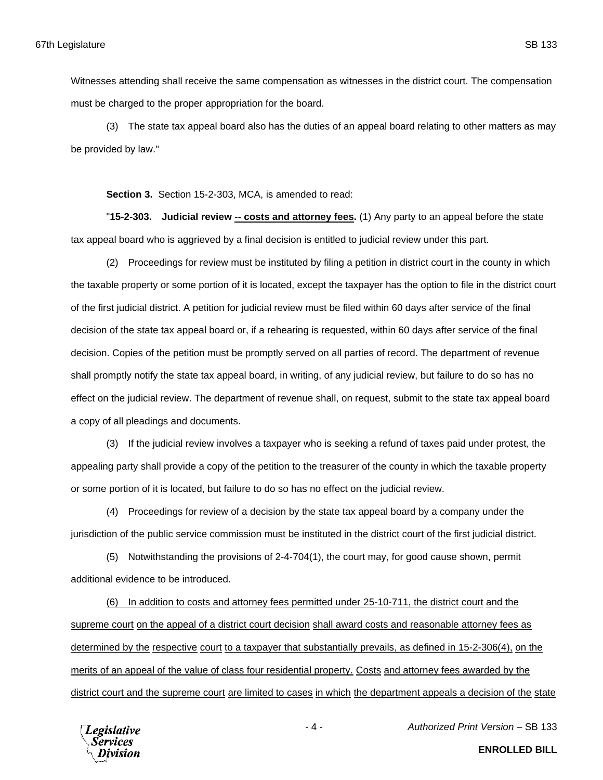Witnesses attending shall receive the same compensation as witnesses in the district court. The compensation must be charged to the proper appropriation for the board.

(3) The state tax appeal board also has the duties of an appeal board relating to other matters as may be provided by law."

**Section 3.** Section 15-2-303, MCA, is amended to read:

"**15-2-303. Judicial review -- costs and attorney fees.** (1) Any party to an appeal before the state tax appeal board who is aggrieved by a final decision is entitled to judicial review under this part.

(2) Proceedings for review must be instituted by filing a petition in district court in the county in which the taxable property or some portion of it is located, except the taxpayer has the option to file in the district court of the first judicial district. A petition for judicial review must be filed within 60 days after service of the final decision of the state tax appeal board or, if a rehearing is requested, within 60 days after service of the final decision. Copies of the petition must be promptly served on all parties of record. The department of revenue shall promptly notify the state tax appeal board, in writing, of any judicial review, but failure to do so has no effect on the judicial review. The department of revenue shall, on request, submit to the state tax appeal board a copy of all pleadings and documents.

(3) If the judicial review involves a taxpayer who is seeking a refund of taxes paid under protest, the appealing party shall provide a copy of the petition to the treasurer of the county in which the taxable property or some portion of it is located, but failure to do so has no effect on the judicial review.

(4) Proceedings for review of a decision by the state tax appeal board by a company under the jurisdiction of the public service commission must be instituted in the district court of the first judicial district.

(5) Notwithstanding the provisions of 2-4-704(1), the court may, for good cause shown, permit additional evidence to be introduced.

(6) In addition to costs and attorney fees permitted under 25-10-711, the district court and the supreme court on the appeal of a district court decision shall award costs and reasonable attorney fees as determined by the respective court to a taxpayer that substantially prevails, as defined in 15-2-306(4), on the merits of an appeal of the value of class four residential property. Costs and attorney fees awarded by the district court and the supreme court are limited to cases in which the department appeals a decision of the state

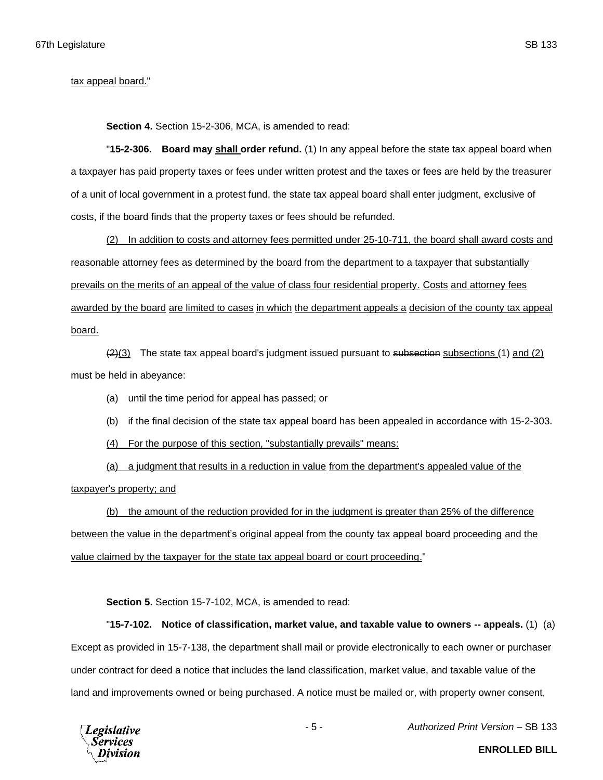**Section 4.** Section 15-2-306, MCA, is amended to read:

"**15-2-306. Board may shall order refund.** (1) In any appeal before the state tax appeal board when a taxpayer has paid property taxes or fees under written protest and the taxes or fees are held by the treasurer of a unit of local government in a protest fund, the state tax appeal board shall enter judgment, exclusive of costs, if the board finds that the property taxes or fees should be refunded.

(2) In addition to costs and attorney fees permitted under 25-10-711, the board shall award costs and reasonable attorney fees as determined by the board from the department to a taxpayer that substantially prevails on the merits of an appeal of the value of class four residential property. Costs and attorney fees awarded by the board are limited to cases in which the department appeals a decision of the county tax appeal board.

 $(2)(3)$  The state tax appeal board's judgment issued pursuant to subsection subsections (1) and (2) must be held in abeyance:

(a) until the time period for appeal has passed; or

- (b) if the final decision of the state tax appeal board has been appealed in accordance with 15-2-303.
- (4) For the purpose of this section, "substantially prevails" means:

(a) a judgment that results in a reduction in value from the department's appealed value of the taxpayer's property; and

(b) the amount of the reduction provided for in the judgment is greater than 25% of the difference between the value in the department's original appeal from the county tax appeal board proceeding and the value claimed by the taxpayer for the state tax appeal board or court proceeding."

**Section 5.** Section 15-7-102, MCA, is amended to read:

"**15-7-102. Notice of classification, market value, and taxable value to owners -- appeals.** (1) (a) Except as provided in 15-7-138, the department shall mail or provide electronically to each owner or purchaser under contract for deed a notice that includes the land classification, market value, and taxable value of the land and improvements owned or being purchased. A notice must be mailed or, with property owner consent,



- 5 - *Authorized Print Version* – SB 133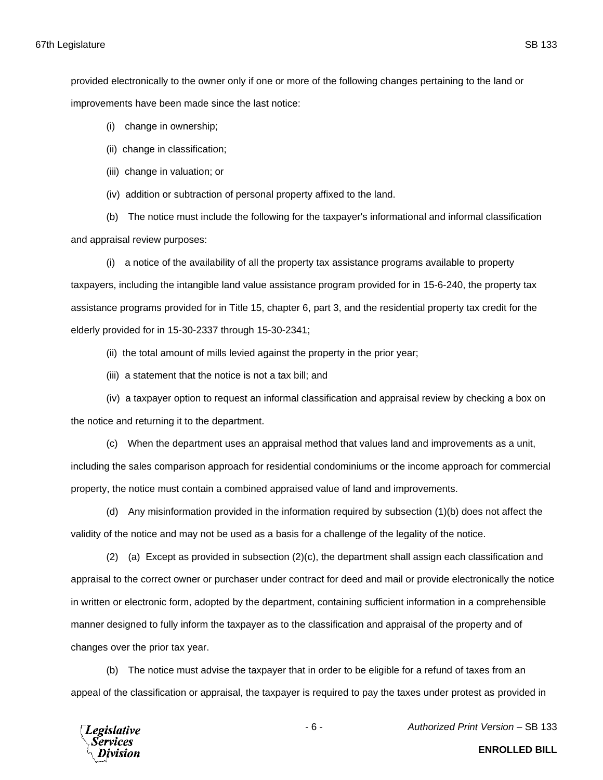provided electronically to the owner only if one or more of the following changes pertaining to the land or improvements have been made since the last notice:

- (i) change in ownership;
- (ii) change in classification;
- (iii) change in valuation; or
- (iv) addition or subtraction of personal property affixed to the land.

(b) The notice must include the following for the taxpayer's informational and informal classification and appraisal review purposes:

(i) a notice of the availability of all the property tax assistance programs available to property taxpayers, including the intangible land value assistance program provided for in 15-6-240, the property tax assistance programs provided for in Title 15, chapter 6, part 3, and the residential property tax credit for the elderly provided for in 15-30-2337 through 15-30-2341;

(ii) the total amount of mills levied against the property in the prior year;

(iii) a statement that the notice is not a tax bill; and

(iv) a taxpayer option to request an informal classification and appraisal review by checking a box on the notice and returning it to the department.

(c) When the department uses an appraisal method that values land and improvements as a unit, including the sales comparison approach for residential condominiums or the income approach for commercial property, the notice must contain a combined appraised value of land and improvements.

(d) Any misinformation provided in the information required by subsection (1)(b) does not affect the validity of the notice and may not be used as a basis for a challenge of the legality of the notice.

 $(2)$  (a) Except as provided in subsection  $(2)(c)$ , the department shall assign each classification and appraisal to the correct owner or purchaser under contract for deed and mail or provide electronically the notice in written or electronic form, adopted by the department, containing sufficient information in a comprehensible manner designed to fully inform the taxpayer as to the classification and appraisal of the property and of changes over the prior tax year.

(b) The notice must advise the taxpayer that in order to be eligible for a refund of taxes from an appeal of the classification or appraisal, the taxpayer is required to pay the taxes under protest as provided in



- 6 - *Authorized Print Version* – SB 133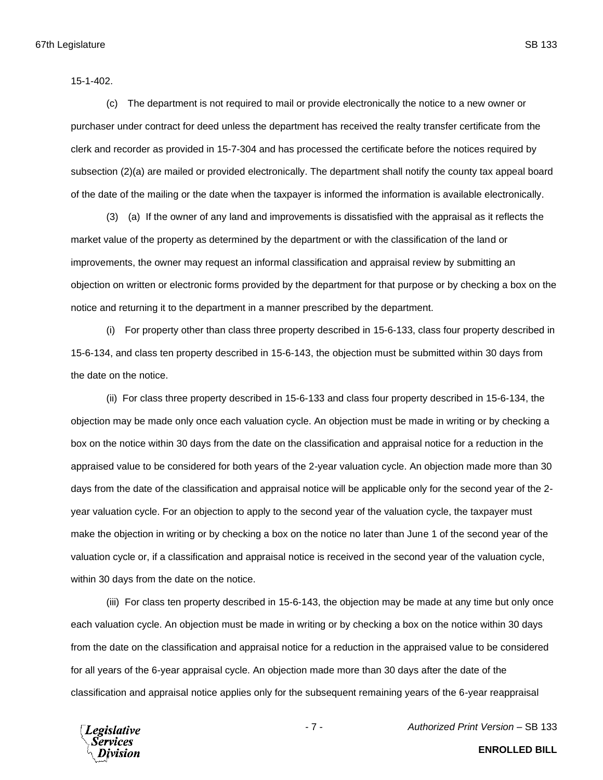15-1-402.

(c) The department is not required to mail or provide electronically the notice to a new owner or purchaser under contract for deed unless the department has received the realty transfer certificate from the clerk and recorder as provided in 15-7-304 and has processed the certificate before the notices required by subsection (2)(a) are mailed or provided electronically. The department shall notify the county tax appeal board of the date of the mailing or the date when the taxpayer is informed the information is available electronically.

(3) (a) If the owner of any land and improvements is dissatisfied with the appraisal as it reflects the market value of the property as determined by the department or with the classification of the land or improvements, the owner may request an informal classification and appraisal review by submitting an objection on written or electronic forms provided by the department for that purpose or by checking a box on the notice and returning it to the department in a manner prescribed by the department.

(i) For property other than class three property described in 15-6-133, class four property described in 15-6-134, and class ten property described in 15-6-143, the objection must be submitted within 30 days from the date on the notice.

(ii) For class three property described in 15-6-133 and class four property described in 15-6-134, the objection may be made only once each valuation cycle. An objection must be made in writing or by checking a box on the notice within 30 days from the date on the classification and appraisal notice for a reduction in the appraised value to be considered for both years of the 2-year valuation cycle. An objection made more than 30 days from the date of the classification and appraisal notice will be applicable only for the second year of the 2 year valuation cycle. For an objection to apply to the second year of the valuation cycle, the taxpayer must make the objection in writing or by checking a box on the notice no later than June 1 of the second year of the valuation cycle or, if a classification and appraisal notice is received in the second year of the valuation cycle, within 30 days from the date on the notice.

(iii) For class ten property described in 15-6-143, the objection may be made at any time but only once each valuation cycle. An objection must be made in writing or by checking a box on the notice within 30 days from the date on the classification and appraisal notice for a reduction in the appraised value to be considered for all years of the 6-year appraisal cycle. An objection made more than 30 days after the date of the classification and appraisal notice applies only for the subsequent remaining years of the 6-year reappraisal



- 7 - *Authorized Print Version* – SB 133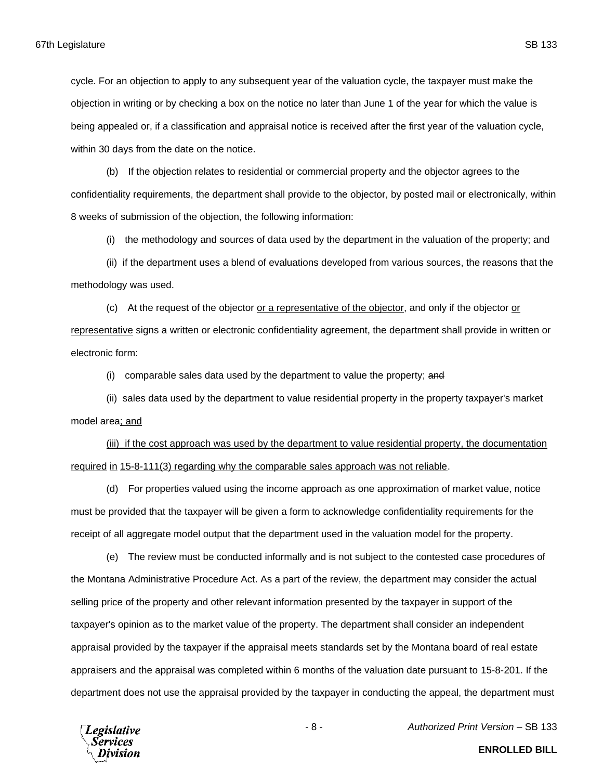cycle. For an objection to apply to any subsequent year of the valuation cycle, the taxpayer must make the objection in writing or by checking a box on the notice no later than June 1 of the year for which the value is being appealed or, if a classification and appraisal notice is received after the first year of the valuation cycle, within 30 days from the date on the notice.

(b) If the objection relates to residential or commercial property and the objector agrees to the confidentiality requirements, the department shall provide to the objector, by posted mail or electronically, within 8 weeks of submission of the objection, the following information:

(i) the methodology and sources of data used by the department in the valuation of the property; and

(ii) if the department uses a blend of evaluations developed from various sources, the reasons that the methodology was used.

(c) At the request of the objector or a representative of the objector, and only if the objector or representative signs a written or electronic confidentiality agreement, the department shall provide in written or electronic form:

(i) comparable sales data used by the department to value the property; and

(ii) sales data used by the department to value residential property in the property taxpayer's market model area; and

(iii) if the cost approach was used by the department to value residential property, the documentation required in 15-8-111(3) regarding why the comparable sales approach was not reliable.

(d) For properties valued using the income approach as one approximation of market value, notice must be provided that the taxpayer will be given a form to acknowledge confidentiality requirements for the receipt of all aggregate model output that the department used in the valuation model for the property.

(e) The review must be conducted informally and is not subject to the contested case procedures of the Montana Administrative Procedure Act. As a part of the review, the department may consider the actual selling price of the property and other relevant information presented by the taxpayer in support of the taxpayer's opinion as to the market value of the property. The department shall consider an independent appraisal provided by the taxpayer if the appraisal meets standards set by the Montana board of real estate appraisers and the appraisal was completed within 6 months of the valuation date pursuant to 15-8-201. If the department does not use the appraisal provided by the taxpayer in conducting the appeal, the department must

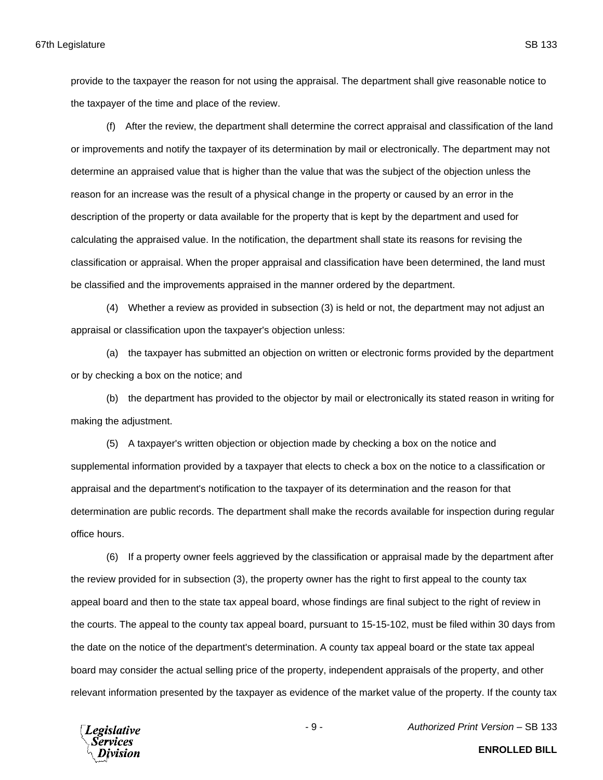provide to the taxpayer the reason for not using the appraisal. The department shall give reasonable notice to the taxpayer of the time and place of the review.

(f) After the review, the department shall determine the correct appraisal and classification of the land or improvements and notify the taxpayer of its determination by mail or electronically. The department may not determine an appraised value that is higher than the value that was the subject of the objection unless the reason for an increase was the result of a physical change in the property or caused by an error in the description of the property or data available for the property that is kept by the department and used for calculating the appraised value. In the notification, the department shall state its reasons for revising the classification or appraisal. When the proper appraisal and classification have been determined, the land must be classified and the improvements appraised in the manner ordered by the department.

(4) Whether a review as provided in subsection (3) is held or not, the department may not adjust an appraisal or classification upon the taxpayer's objection unless:

(a) the taxpayer has submitted an objection on written or electronic forms provided by the department or by checking a box on the notice; and

(b) the department has provided to the objector by mail or electronically its stated reason in writing for making the adjustment.

(5) A taxpayer's written objection or objection made by checking a box on the notice and supplemental information provided by a taxpayer that elects to check a box on the notice to a classification or appraisal and the department's notification to the taxpayer of its determination and the reason for that determination are public records. The department shall make the records available for inspection during regular office hours.

(6) If a property owner feels aggrieved by the classification or appraisal made by the department after the review provided for in subsection (3), the property owner has the right to first appeal to the county tax appeal board and then to the state tax appeal board, whose findings are final subject to the right of review in the courts. The appeal to the county tax appeal board, pursuant to 15-15-102, must be filed within 30 days from the date on the notice of the department's determination. A county tax appeal board or the state tax appeal board may consider the actual selling price of the property, independent appraisals of the property, and other relevant information presented by the taxpayer as evidence of the market value of the property. If the county tax



- 9 - *Authorized Print Version* – SB 133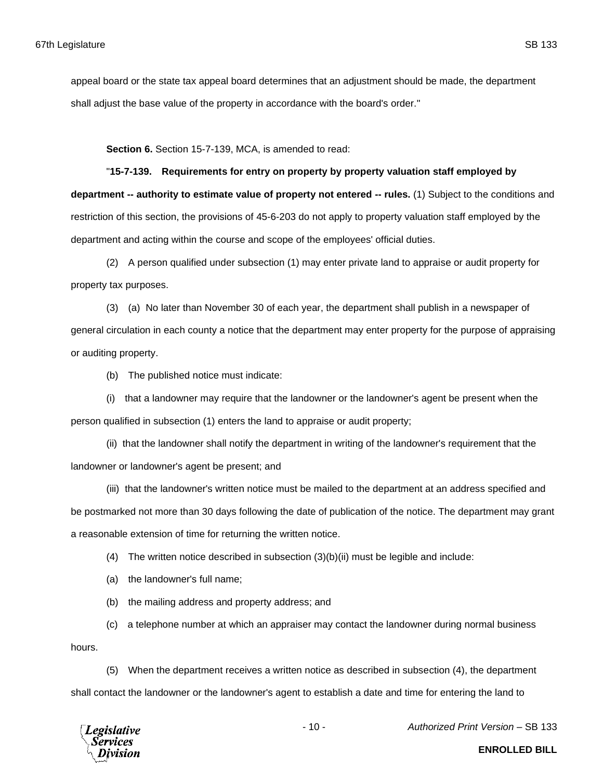appeal board or the state tax appeal board determines that an adjustment should be made, the department shall adjust the base value of the property in accordance with the board's order."

**Section 6.** Section 15-7-139, MCA, is amended to read:

"**15-7-139. Requirements for entry on property by property valuation staff employed by department -- authority to estimate value of property not entered -- rules.** (1) Subject to the conditions and restriction of this section, the provisions of 45-6-203 do not apply to property valuation staff employed by the department and acting within the course and scope of the employees' official duties.

(2) A person qualified under subsection (1) may enter private land to appraise or audit property for property tax purposes.

(3) (a) No later than November 30 of each year, the department shall publish in a newspaper of general circulation in each county a notice that the department may enter property for the purpose of appraising or auditing property.

(b) The published notice must indicate:

(i) that a landowner may require that the landowner or the landowner's agent be present when the person qualified in subsection (1) enters the land to appraise or audit property;

(ii) that the landowner shall notify the department in writing of the landowner's requirement that the landowner or landowner's agent be present; and

(iii) that the landowner's written notice must be mailed to the department at an address specified and be postmarked not more than 30 days following the date of publication of the notice. The department may grant a reasonable extension of time for returning the written notice.

(4) The written notice described in subsection  $(3)(b)(ii)$  must be legible and include:

(a) the landowner's full name;

(b) the mailing address and property address; and

(c) a telephone number at which an appraiser may contact the landowner during normal business

hours.

(5) When the department receives a written notice as described in subsection (4), the department shall contact the landowner or the landowner's agent to establish a date and time for entering the land to



- 10 - *Authorized Print Version* – SB 133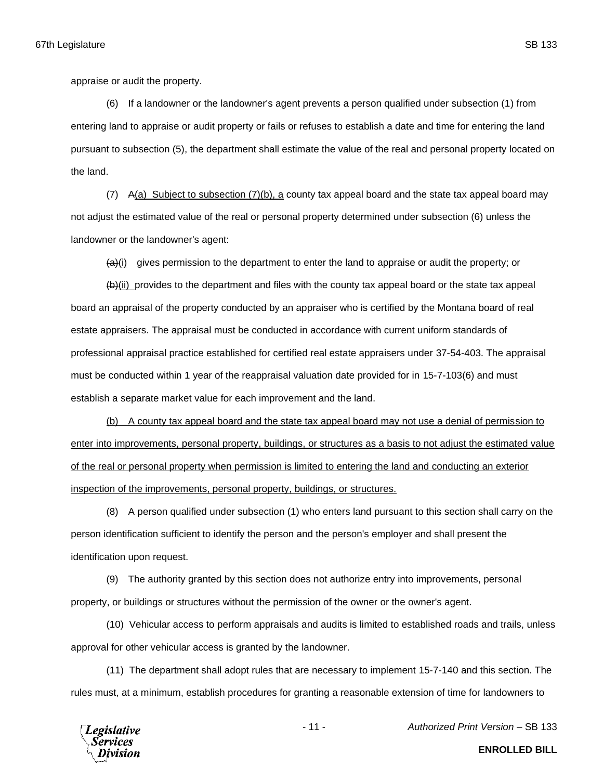appraise or audit the property.

(6) If a landowner or the landowner's agent prevents a person qualified under subsection (1) from entering land to appraise or audit property or fails or refuses to establish a date and time for entering the land pursuant to subsection (5), the department shall estimate the value of the real and personal property located on the land.

(7) A(a) Subject to subsection (7)(b), a county tax appeal board and the state tax appeal board may not adjust the estimated value of the real or personal property determined under subsection (6) unless the landowner or the landowner's agent:

 $\left\langle \Theta_{i}(i) \right\rangle$  gives permission to the department to enter the land to appraise or audit the property; or

 $(b)$ (ii) provides to the department and files with the county tax appeal board or the state tax appeal board an appraisal of the property conducted by an appraiser who is certified by the Montana board of real estate appraisers. The appraisal must be conducted in accordance with current uniform standards of professional appraisal practice established for certified real estate appraisers under 37-54-403. The appraisal must be conducted within 1 year of the reappraisal valuation date provided for in 15-7-103(6) and must establish a separate market value for each improvement and the land.

(b) A county tax appeal board and the state tax appeal board may not use a denial of permission to enter into improvements, personal property, buildings, or structures as a basis to not adjust the estimated value of the real or personal property when permission is limited to entering the land and conducting an exterior inspection of the improvements, personal property, buildings, or structures.

(8) A person qualified under subsection (1) who enters land pursuant to this section shall carry on the person identification sufficient to identify the person and the person's employer and shall present the identification upon request.

(9) The authority granted by this section does not authorize entry into improvements, personal property, or buildings or structures without the permission of the owner or the owner's agent.

(10) Vehicular access to perform appraisals and audits is limited to established roads and trails, unless approval for other vehicular access is granted by the landowner.

(11) The department shall adopt rules that are necessary to implement 15-7-140 and this section. The rules must, at a minimum, establish procedures for granting a reasonable extension of time for landowners to



- 11 - *Authorized Print Version* – SB 133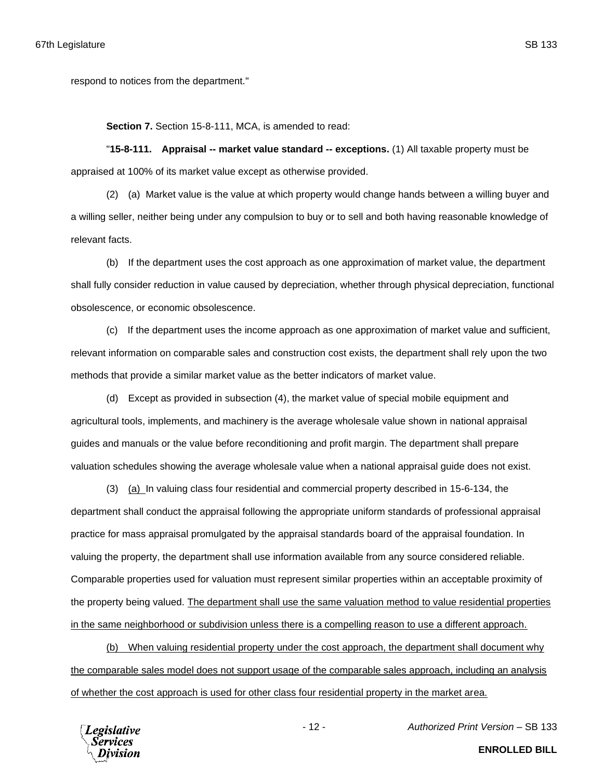respond to notices from the department."

**Section 7.** Section 15-8-111, MCA, is amended to read:

"**15-8-111. Appraisal -- market value standard -- exceptions.** (1) All taxable property must be appraised at 100% of its market value except as otherwise provided.

(2) (a) Market value is the value at which property would change hands between a willing buyer and a willing seller, neither being under any compulsion to buy or to sell and both having reasonable knowledge of relevant facts.

(b) If the department uses the cost approach as one approximation of market value, the department shall fully consider reduction in value caused by depreciation, whether through physical depreciation, functional obsolescence, or economic obsolescence.

(c) If the department uses the income approach as one approximation of market value and sufficient, relevant information on comparable sales and construction cost exists, the department shall rely upon the two methods that provide a similar market value as the better indicators of market value.

(d) Except as provided in subsection (4), the market value of special mobile equipment and agricultural tools, implements, and machinery is the average wholesale value shown in national appraisal guides and manuals or the value before reconditioning and profit margin. The department shall prepare valuation schedules showing the average wholesale value when a national appraisal guide does not exist.

(3) (a) In valuing class four residential and commercial property described in 15-6-134, the department shall conduct the appraisal following the appropriate uniform standards of professional appraisal practice for mass appraisal promulgated by the appraisal standards board of the appraisal foundation. In valuing the property, the department shall use information available from any source considered reliable. Comparable properties used for valuation must represent similar properties within an acceptable proximity of the property being valued. The department shall use the same valuation method to value residential properties in the same neighborhood or subdivision unless there is a compelling reason to use a different approach.

(b) When valuing residential property under the cost approach, the department shall document why the comparable sales model does not support usage of the comparable sales approach, including an analysis of whether the cost approach is used for other class four residential property in the market area.



**ENROLLED BILL**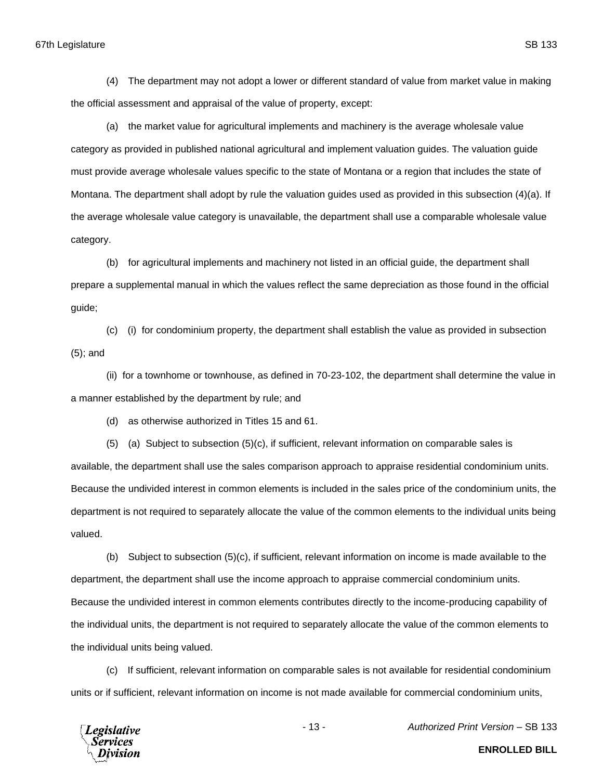(4) The department may not adopt a lower or different standard of value from market value in making the official assessment and appraisal of the value of property, except:

(a) the market value for agricultural implements and machinery is the average wholesale value category as provided in published national agricultural and implement valuation guides. The valuation guide must provide average wholesale values specific to the state of Montana or a region that includes the state of Montana. The department shall adopt by rule the valuation guides used as provided in this subsection (4)(a). If the average wholesale value category is unavailable, the department shall use a comparable wholesale value category.

(b) for agricultural implements and machinery not listed in an official guide, the department shall prepare a supplemental manual in which the values reflect the same depreciation as those found in the official guide;

(c) (i) for condominium property, the department shall establish the value as provided in subsection (5); and

(ii) for a townhome or townhouse, as defined in 70-23-102, the department shall determine the value in a manner established by the department by rule; and

(d) as otherwise authorized in Titles 15 and 61.

(5) (a) Subject to subsection (5)(c), if sufficient, relevant information on comparable sales is available, the department shall use the sales comparison approach to appraise residential condominium units. Because the undivided interest in common elements is included in the sales price of the condominium units, the department is not required to separately allocate the value of the common elements to the individual units being valued.

(b) Subject to subsection (5)(c), if sufficient, relevant information on income is made available to the department, the department shall use the income approach to appraise commercial condominium units. Because the undivided interest in common elements contributes directly to the income-producing capability of the individual units, the department is not required to separately allocate the value of the common elements to the individual units being valued.

(c) If sufficient, relevant information on comparable sales is not available for residential condominium units or if sufficient, relevant information on income is not made available for commercial condominium units,



- 13 - *Authorized Print Version* – SB 133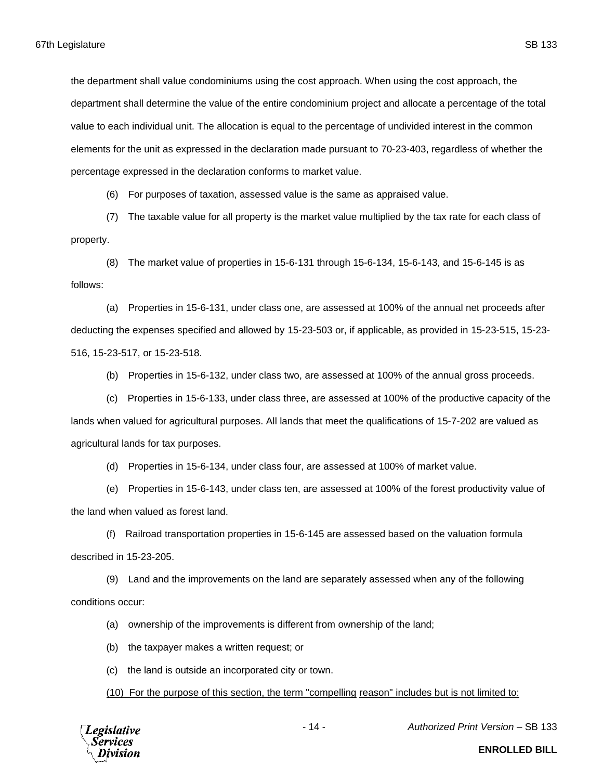the department shall value condominiums using the cost approach. When using the cost approach, the department shall determine the value of the entire condominium project and allocate a percentage of the total value to each individual unit. The allocation is equal to the percentage of undivided interest in the common elements for the unit as expressed in the declaration made pursuant to 70-23-403, regardless of whether the percentage expressed in the declaration conforms to market value.

(6) For purposes of taxation, assessed value is the same as appraised value.

(7) The taxable value for all property is the market value multiplied by the tax rate for each class of property.

(8) The market value of properties in 15-6-131 through 15-6-134, 15-6-143, and 15-6-145 is as follows:

(a) Properties in 15-6-131, under class one, are assessed at 100% of the annual net proceeds after deducting the expenses specified and allowed by 15-23-503 or, if applicable, as provided in 15-23-515, 15-23- 516, 15-23-517, or 15-23-518.

(b) Properties in 15-6-132, under class two, are assessed at 100% of the annual gross proceeds.

(c) Properties in 15-6-133, under class three, are assessed at 100% of the productive capacity of the lands when valued for agricultural purposes. All lands that meet the qualifications of 15-7-202 are valued as agricultural lands for tax purposes.

(d) Properties in 15-6-134, under class four, are assessed at 100% of market value.

(e) Properties in 15-6-143, under class ten, are assessed at 100% of the forest productivity value of the land when valued as forest land.

(f) Railroad transportation properties in 15-6-145 are assessed based on the valuation formula described in 15-23-205.

(9) Land and the improvements on the land are separately assessed when any of the following conditions occur:

(a) ownership of the improvements is different from ownership of the land;

(b) the taxpayer makes a written request; or

(c) the land is outside an incorporated city or town.

(10) For the purpose of this section, the term "compelling reason" includes but is not limited to:



- 14 - *Authorized Print Version* – SB 133

**ENROLLED BILL**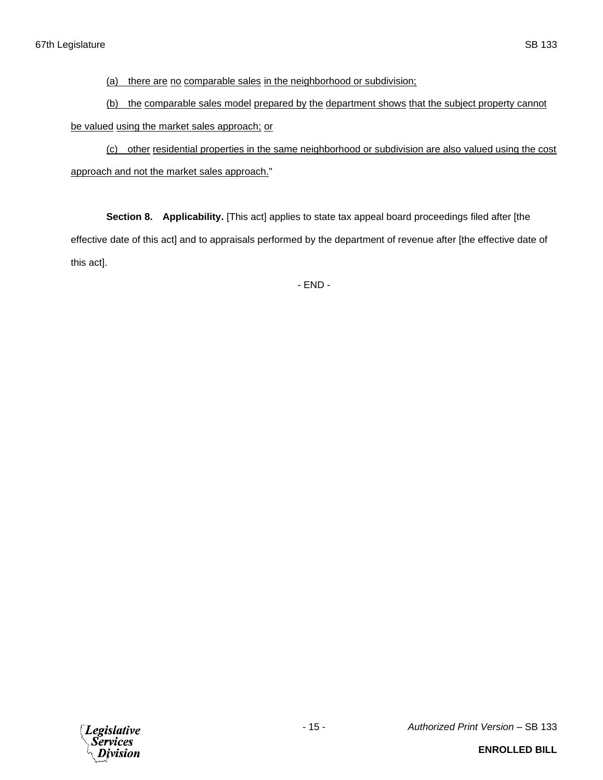(a) there are no comparable sales in the neighborhood or subdivision;

(b) the comparable sales model prepared by the department shows that the subject property cannot be valued using the market sales approach; or

(c) other residential properties in the same neighborhood or subdivision are also valued using the cost approach and not the market sales approach."

**Section 8. Applicability.** [This act] applies to state tax appeal board proceedings filed after [the effective date of this act] and to appraisals performed by the department of revenue after [the effective date of this act].

- END -

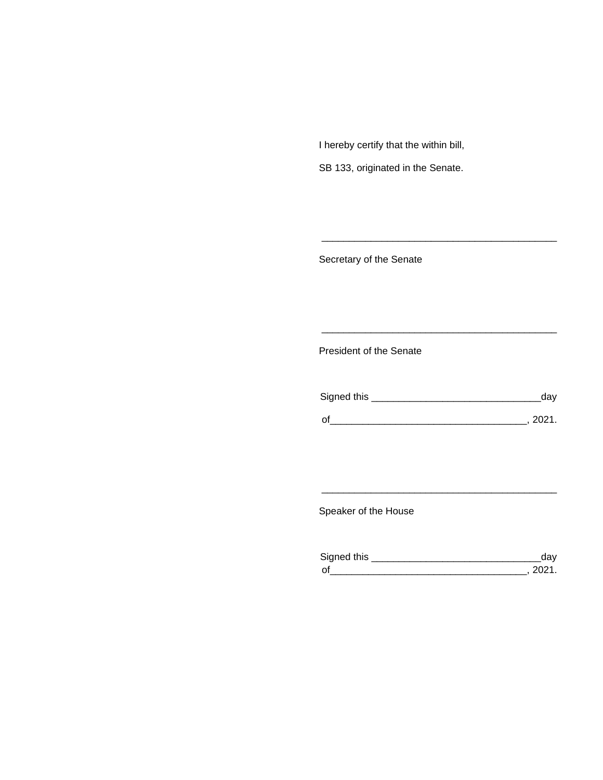I hereby certify that the within bill,

SB 133, originated in the Senate.

Secretary of the Senate

President of the Senate

| Signed this | ua v   |
|-------------|--------|
|             |        |
| $\Omega$    | 111111 |

\_\_\_\_\_\_\_\_\_\_\_\_\_\_\_\_\_\_\_\_\_\_\_\_\_\_\_\_\_\_\_\_\_\_\_\_\_\_\_\_\_\_\_

\_\_\_\_\_\_\_\_\_\_\_\_\_\_\_\_\_\_\_\_\_\_\_\_\_\_\_\_\_\_\_\_\_\_\_\_\_\_\_\_\_\_\_

Speaker of the House

| Sianed this |  |
|-------------|--|
| $\sim$      |  |

\_\_\_\_\_\_\_\_\_\_\_\_\_\_\_\_\_\_\_\_\_\_\_\_\_\_\_\_\_\_\_\_\_\_\_\_\_\_\_\_\_\_\_